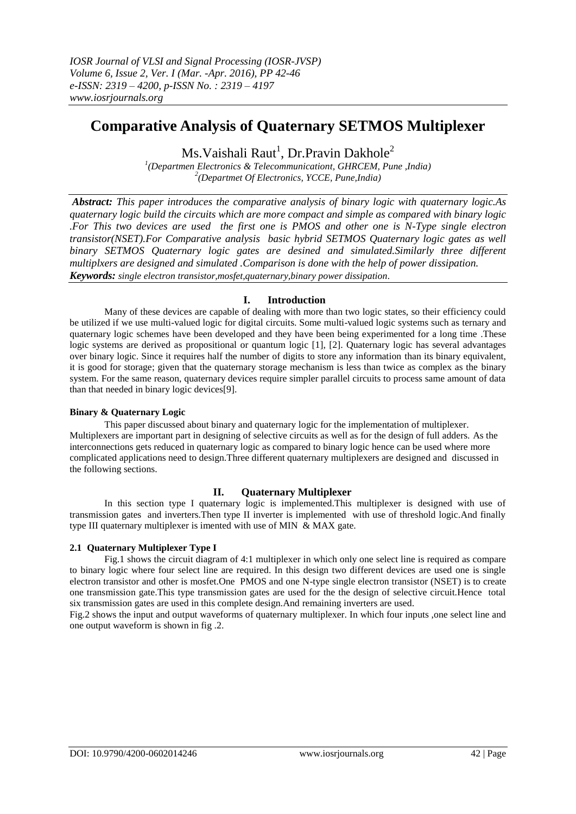# **Comparative Analysis of Quaternary SETMOS Multiplexer**

Ms.Vaishali Raut $^{\rm l}$ , Dr.Pravin Dakhole $^{\rm 2}$ 

*1 (Departmen Electronics & Telecommunicationt, GHRCEM, Pune ,India) 2 (Departmet Of Electronics, YCCE, Pune,India)*

*Abstract: This paper introduces the comparative analysis of binary logic with quaternary logic.As quaternary logic build the circuits which are more compact and simple as compared with binary logic .For This two devices are used the first one is PMOS and other one is N-Type single electron transistor(NSET).For Comparative analysis basic hybrid SETMOS Quaternary logic gates as well binary SETMOS Quaternary logic gates are desined and simulated.Similarly three different multiplxers are designed and simulated .Comparison is done with the help of power dissipation. Keywords: single electron transistor,mosfet,quaternary,binary power dissipation.*

## **I. Introduction**

Many of these devices are capable of dealing with more than two logic states, so their efficiency could be utilized if we use multi-valued logic for digital circuits. Some multi-valued logic systems such as ternary and quaternary logic schemes have been developed and they have been being experimented for a long time .These logic systems are derived as propositional or quantum logic [1], [2]. Quaternary logic has several advantages over binary logic. Since it requires half the number of digits to store any information than its binary equivalent, it is good for storage; given that the quaternary storage mechanism is less than twice as complex as the binary system. For the same reason, quaternary devices require simpler parallel circuits to process same amount of data than that needed in binary logic devices[9].

## **Binary & Quaternary Logic**

This paper discussed about binary and quaternary logic for the implementation of multiplexer. Multiplexers are important part in designing of selective circuits as well as for the design of full adders. As the interconnections gets reduced in quaternary logic as compared to binary logic hence can be used where more complicated applications need to design.Three different quaternary multiplexers are designed and discussed in the following sections.

## **II. Quaternary Multiplexer**

In this section type I quaternary logic is implemented.This multiplexer is designed with use of transmission gates and inverters.Then type II inverter is implemented with use of threshold logic.And finally type III quaternary multiplexer is imented with use of MIN & MAX gate.

## **2.1 Quaternary Multiplexer Type I**

Fig.1 shows the circuit diagram of 4:1 multiplexer in which only one select line is required as compare to binary logic where four select line are required. In this design two different devices are used one is single electron transistor and other is mosfet.One PMOS and one N-type single electron transistor (NSET) is to create one transmission gate.This type transmission gates are used for the the design of selective circuit.Hence total six transmission gates are used in this complete design.And remaining inverters are used.

Fig.2 shows the input and output waveforms of quaternary multiplexer. In which four inputs ,one select line and one output waveform is shown in fig .2.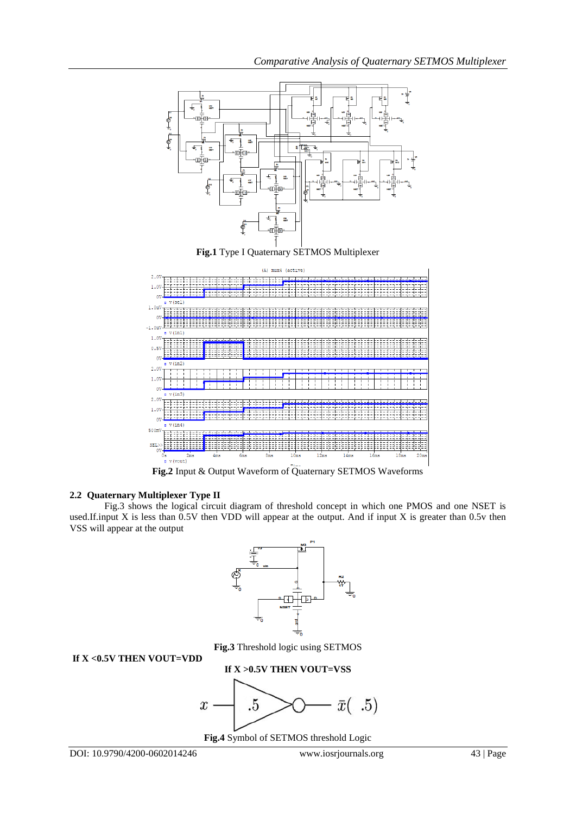

**Fig.2** Input & Output Waveform of Quaternary SETMOS Waveforms

## **2.2 Quaternary Multiplexer Type II**

Fig.3 shows the logical circuit diagram of threshold concept in which one PMOS and one NSET is used.If.input X is less than 0.5V then VDD will appear at the output. And if input X is greater than 0.5v then VSS will appear at the output



**If X <0.5V THEN VOUT=VDD**

**Fig.3** Threshold logic using SETMOS

# **If X >0.5V THEN VOUT=VSS** .5  $\bar{x}(.5)$  $\boldsymbol{x}$

**Fig.4** Symbol of SETMOS threshold Logic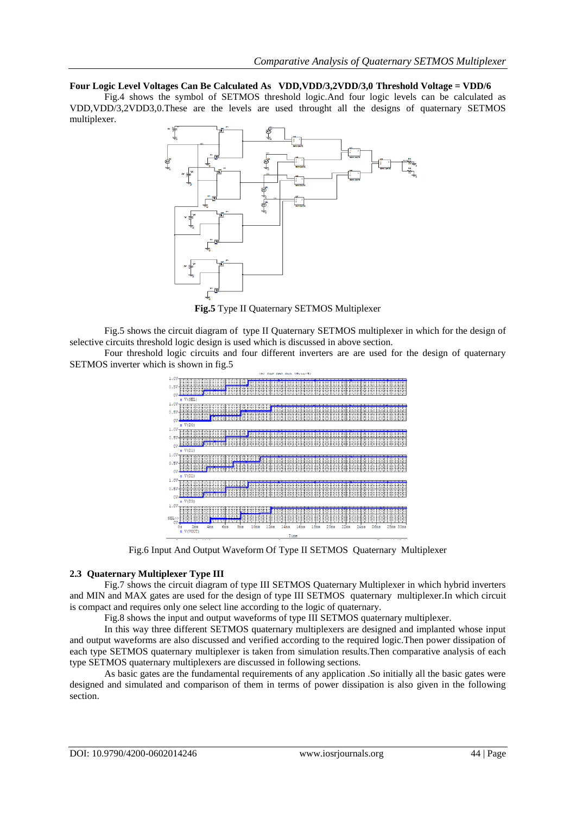**Four Logic Level Voltages Can Be Calculated As VDD,VDD/3,2VDD/3,0 Threshold Voltage = VDD/6**

Fig.4 shows the symbol of SETMOS threshold logic.And four logic levels can be calculated as VDD,VDD/3,2VDD3,0.These are the levels are used throught all the designs of quaternary SETMOS multiplexer.



**Fig.5** Type II Quaternary SETMOS Multiplexer

Fig.5 shows the circuit diagram of type II Quaternary SETMOS multiplexer in which for the design of selective circuits threshold logic design is used which is discussed in above section.

Four threshold logic circuits and four different inverters are are used for the design of quaternary SETMOS inverter which is shown in fig.5



Fig.6 Input And Output Waveform Of Type II SETMOS Quaternary Multiplexer

#### **2.3 Quaternary Multiplexer Type III**

Fig.7 shows the circuit diagram of type III SETMOS Quaternary Multiplexer in which hybrid inverters and MIN and MAX gates are used for the design of type III SETMOS quaternary multiplexer.In which circuit is compact and requires only one select line according to the logic of quaternary.

Fig.8 shows the input and output waveforms of type III SETMOS quaternary multiplexer.

In this way three different SETMOS quaternary multiplexers are designed and implanted whose input and output waveforms are also discussed and verified according to the required logic.Then power dissipation of each type SETMOS quaternary multiplexer is taken from simulation results.Then comparative analysis of each type SETMOS quaternary multiplexers are discussed in following sections.

As basic gates are the fundamental requirements of any application .So initially all the basic gates were designed and simulated and comparison of them in terms of power dissipation is also given in the following section.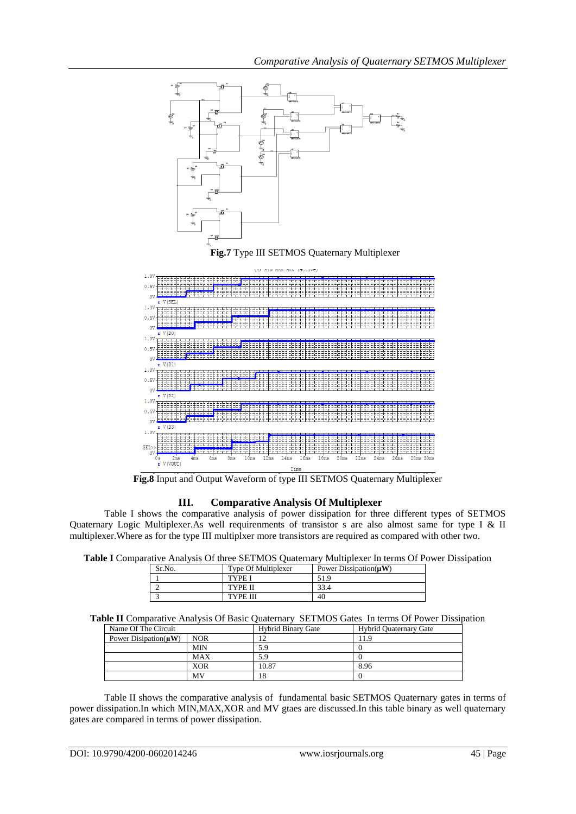

**Fig.8** Input and Output Waveform of type III SETMOS Quaternary Multiplexer

## **III. Comparative Analysis Of Multiplexer**

Table I shows the comparative analysis of power dissipation for three different types of SETMOS Quaternary Logic Multiplexer.As well requirenments of transistor s are also almost same for type I & II multiplexer.Where as for the type III multiplxer more transistors are required as compared with other two.

| Sr.No. | <b>Type Of Multiplexer</b> | Power Dissipation( $\mu$ W) |
|--------|----------------------------|-----------------------------|
|        | <b>TYPE I</b>              | 51.9                        |
|        | TYPE II                    | 33.4                        |
|        | <b>TYPE III</b>            | 40                          |

|  | Table II Comparative Analysis Of Basic Quaternary SETMOS Gates In terms Of Power Dissipation |
|--|----------------------------------------------------------------------------------------------|
|--|----------------------------------------------------------------------------------------------|

| Name Of The Circuit        |            | <b>Hybrid Binary Gate</b> | <b>Hybrid Quaternary Gate</b> |
|----------------------------|------------|---------------------------|-------------------------------|
| Power Disipation( $\mu$ W) | NOR        |                           | 11.9                          |
|                            | <b>MIN</b> | 5.9                       |                               |
|                            | <b>MAX</b> | 5.9                       |                               |
|                            | <b>XOR</b> | 10.87                     | 8.96                          |
|                            | MV         | 18                        |                               |

Table II shows the comparative analysis of fundamental basic SETMOS Quaternary gates in terms of power dissipation.In which MIN,MAX,XOR and MV gtaes are discussed.In this table binary as well quaternary gates are compared in terms of power dissipation.